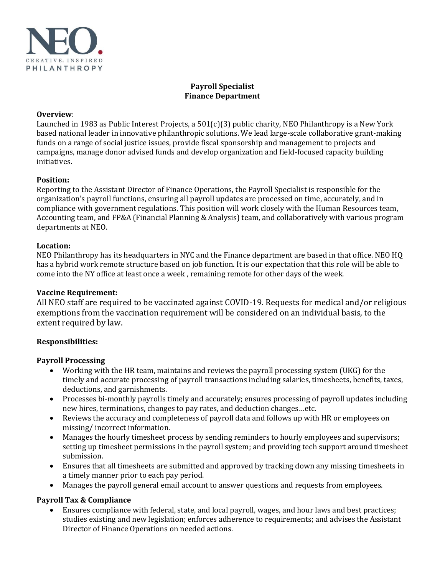

## **Payroll Specialist Finance Department**

### **Overview**:

Launched in 1983 as Public Interest Projects, a 501(c)(3) public charity, NEO Philanthropy is a New York based national leader in innovative philanthropic solutions. We lead large-scale collaborative grant-making funds on a range of social justice issues, provide fiscal sponsorship and management to projects and campaigns, manage donor advised funds and develop organization and field-focused capacity building initiatives.

#### **Position:**

Reporting to the Assistant Director of Finance Operations, the Payroll Specialist is responsible for the organization's payroll functions, ensuring all payroll updates are processed on time, accurately, and in compliance with government regulations. This position will work closely with the Human Resources team, Accounting team, and FP&A (Financial Planning & Analysis) team, and collaboratively with various program departments at NEO.

#### **Location:**

NEO Philanthropy has its headquarters in NYC and the Finance department are based in that office. NEO HQ has a hybrid work remote structure based on job function. It is our expectation that this role will be able to come into the NY office at least once a week , remaining remote for other days of the week.

## **Vaccine Requirement:**

All NEO staff are required to be vaccinated against COVID-19. Requests for medical and/or religious exemptions from the vaccination requirement will be considered on an individual basis, to the extent required by law. 

## **Responsibilities:**

#### **Payroll Processing**

- Working with the HR team, maintains and reviews the payroll processing system (UKG) for the timely and accurate processing of payroll transactions including salaries, timesheets, benefits, taxes, deductions, and garnishments.
- Processes bi-monthly payrolls timely and accurately; ensures processing of payroll updates including new hires, terminations, changes to pay rates, and deduction changes…etc.
- Reviews the accuracy and completeness of payroll data and follows up with HR or employees on missing/ incorrect information.
- Manages the hourly timesheet process by sending reminders to hourly employees and supervisors; setting up timesheet permissions in the payroll system; and providing tech support around timesheet submission.
- Ensures that all timesheets are submitted and approved by tracking down any missing timesheets in a timely manner prior to each pay period.
- Manages the payroll general email account to answer questions and requests from employees.

## **Payroll Tax & Compliance**

• Ensures compliance with federal, state, and local payroll, wages, and hour laws and best practices; studies existing and new legislation; enforces adherence to requirements; and advises the Assistant Director of Finance Operations on needed actions.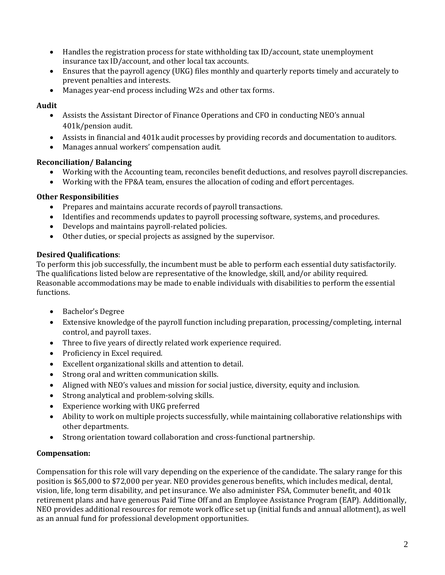- Handles the registration process for state withholding tax ID/account, state unemployment insurance tax ID/account, and other local tax accounts.
- Ensures that the payroll agency (UKG) files monthly and quarterly reports timely and accurately to prevent penalties and interests.
- Manages year-end process including W2s and other tax forms.

# **Audit**

- Assists the Assistant Director of Finance Operations and CFO in conducting NEO's annual 401k/pension audit.
- Assists in financial and 401k audit processes by providing records and documentation to auditors.
- Manages annual workers' compensation audit.

# **Reconciliation/ Balancing**

- Working with the Accounting team, reconciles benefit deductions, and resolves payroll discrepancies.
- Working with the FP&A team, ensures the allocation of coding and effort percentages.

# **Other Responsibilities**

- Prepares and maintains accurate records of payroll transactions.
- Identifies and recommends updates to payroll processing software, systems, and procedures.
- Develops and maintains payroll-related policies.
- Other duties, or special projects as assigned by the supervisor.

# **Desired Qualifications**:

To perform this job successfully, the incumbent must be able to perform each essential duty satisfactorily. The qualifications listed below are representative of the knowledge, skill, and/or ability required. Reasonable accommodations may be made to enable individuals with disabilities to perform the essential functions.

- Bachelor's Degree
- Extensive knowledge of the payroll function including preparation, processing/completing, internal control, and payroll taxes.
- Three to five years of directly related work experience required.
- Proficiency in Excel required.
- Excellent organizational skills and attention to detail.
- Strong oral and written communication skills.
- Aligned with NEO's values and mission for social justice, diversity, equity and inclusion.
- Strong analytical and problem-solving skills.
- Experience working with UKG preferred
- Ability to work on multiple projects successfully, while maintaining collaborative relationships with other departments.
- Strong orientation toward collaboration and cross-functional partnership.

# **Compensation:**

Compensation for this role will vary depending on the experience of the candidate. The salary range for this position is \$65,000 to \$72,000 per year. NEO provides generous benefits, which includes medical, dental, vision, life, long term disability, and pet insurance. We also administer FSA, Commuter benefit, and 401k retirement plans and have generous Paid Time Off and an Employee Assistance Program (EAP). Additionally, NEO provides additional resources for remote work office set up (initial funds and annual allotment), as well as an annual fund for professional development opportunities.